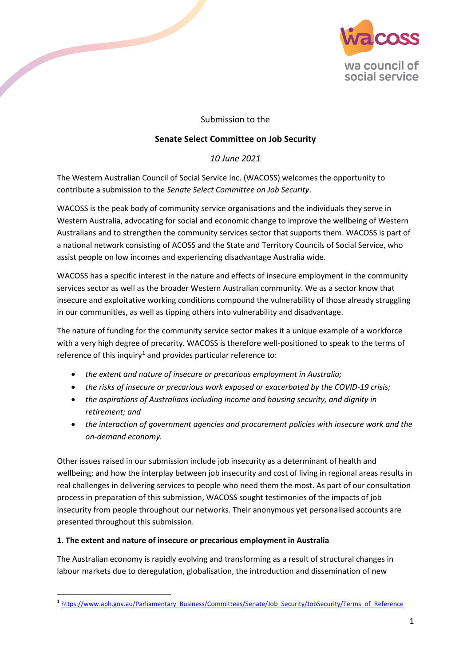

## Submission to the

## **Senate Select Committee on Job Security**

## *10 June 2021*

The Western Australian Council of Social Service Inc. (WACOSS) welcomes the opportunity to contribute a submission to the *Senate Select Committee on Job Security*.

**Contract Contract Contract Contract Contract Contract Contract Contract Contract Contract Contract Contract Contract Contract Contract Contract Contract Contract Contract Contract Contract Contract Contract Contract Contr** 

WACOSS is the peak body of community service organisations and the individuals they serve in Western Australia, advocating for social and economic change to improve the wellbeing of Western Australians and to strengthen the community services sector that supports them. WACOSS is part of a national network consisting of ACOSS and the State and Territory Councils of Social Service, who assist people on low incomes and experiencing disadvantage Australia wide.

WACOSS has a specific interest in the nature and effects of insecure employment in the community services sector as well as the broader Western Australian community. We as a sector know that insecure and exploitative working conditions compound the vulnerability of those already struggling in our communities, as well as tipping others into vulnerability and disadvantage.

The nature of funding for the community service sector makes it a unique example of a workforce with a very high degree of precarity. WACOSS is therefore well-positioned to speak to the terms of reference of this inquiry<sup>[1](#page-0-0)</sup> and provides particular reference to:

- *the extent and nature of insecure or precarious employment in Australia;*
- *the risks of insecure or precarious work exposed or exacerbated by the COVID-19 crisis;*
- *the aspirations of Australians including income and housing security, and dignity in retirement; and*
- *the interaction of government agencies and procurement policies with insecure work and the on-demand economy.*

Other issues raised in our submission include job insecurity as a determinant of health and wellbeing; and how the interplay between job insecurity and cost of living in regional areas results in real challenges in delivering services to people who need them the most. As part of our consultation process in preparation of this submission, WACOSS sought testimonies of the impacts of job insecurity from people throughout our networks. Their anonymous yet personalised accounts are presented throughout this submission.

## **1. The extent and nature of insecure or precarious employment in Australia**

The Australian economy is rapidly evolving and transforming as a result of structural changes in labour markets due to deregulation, globalisation, the introduction and dissemination of new

<span id="page-0-0"></span> <sup>1</sup> [https://www.aph.gov.au/Parliamentary\\_Business/Committees/Senate/Job\\_Security/JobSecurity/Terms\\_of\\_Reference](https://www.aph.gov.au/Parliamentary_Business/Committees/Senate/Job_Security/JobSecurity/Terms_of_Reference)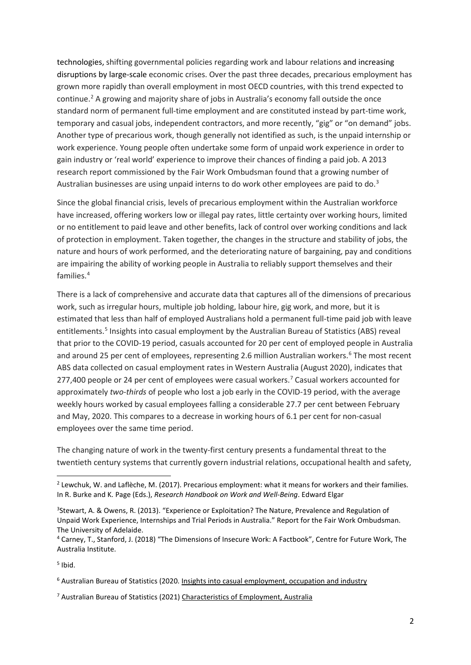technologies, shifting governmental policies regarding work and labour relations and increasing disruptions by large-scale economic crises. Over the past three decades, precarious employment has grown more rapidly than overall employment in most OECD countries, with this trend expected to continue.<sup>[2](#page-1-0)</sup> A growing and majority share of jobs in Australia's economy fall outside the once standard norm of permanent full-time employment and are constituted instead by part-time work, temporary and casual jobs, independent contractors, and more recently, "gig" or "on demand" jobs. Another type of precarious work, though generally not identified as such, is the unpaid internship or work experience. Young people often undertake some form of unpaid work experience in order to gain industry or 'real world' experience to improve their chances of finding a paid job. A 2013 research report commissioned by the Fair Work Ombudsman found that a growing number of Australian businesses are using unpaid interns to do work other employees are paid to do. $3$ 

Since the global financial crisis, levels of precarious employment within the Australian workforce have increased, offering workers low or illegal pay rates, little certainty over working hours, limited or no entitlement to paid leave and other benefits, lack of control over working conditions and lack of protection in employment. Taken together, the changes in the structure and stability of jobs, the nature and hours of work performed, and the deteriorating nature of bargaining, pay and conditions are impairing the ability of working people in Australia to reliably support themselves and their families.[4](#page-1-2)

There is a lack of comprehensive and accurate data that captures all of the dimensions of precarious work, such as irregular hours, multiple job holding, labour hire, gig work, and more, but it is estimated that less than half of employed Australians hold a permanent full-time paid job with leave entitlements.<sup>5</sup> Insights into casual employment by the Australian Bureau of Statistics (ABS) reveal that prior to the COVID-19 period, casuals accounted for 20 per cent of employed people in Australia and around 25 per cent of employees, representing 2.[6](#page-1-4) million Australian workers.<sup>6</sup> The most recent ABS data collected on casual employment rates in Western Australia (August 2020), indicates that 2[7](#page-1-5)7,400 people or 24 per cent of employees were casual workers.<sup>7</sup> Casual workers accounted for approximately *two-thirds* of people who lost a job early in the COVID-19 period, with the average weekly hours worked by casual employees falling a considerable 27.7 per cent between February and May, 2020. This compares to a decrease in working hours of 6.1 per cent for non-casual employees over the same time period.

The changing nature of work in the twenty-first century presents a fundamental threat to the twentieth century systems that currently govern industrial relations, occupational health and safety,

<span id="page-1-3"></span> $<sup>5</sup>$  Ibid.</sup>

<span id="page-1-4"></span><sup>6</sup> Australian Bureau of Statistics (2020[. Insights into casual employment, occupation and industry](https://www.abs.gov.au/articles/insights-casual-employment-occupation-and-industry#:%7E:text=Prior%20to%20the%20COVID%20period,employed%20people%20were%20casual%20employees)

<span id="page-1-5"></span><sup>7</sup> Australian Bureau of Statistics (2021) [Characteristics of Employment, Australia](https://www.abs.gov.au/statistics/labour/earnings-and-work-hours/characteristics-employment-australia/latest-release)

<span id="page-1-0"></span><sup>&</sup>lt;sup>2</sup> Lewchuk, W. and Laflèche, M. (2017). Precarious employment: what it means for workers and their families. In R. Burke and K. Page (Eds.), *Research Handbook on Work and Well-Being*. Edward Elgar

<span id="page-1-1"></span><sup>&</sup>lt;sup>3</sup>Stewart, A. & Owens, R. (2013). "Experience or Exploitation? The Nature, Prevalence and Regulation of Unpaid Work Experience, Internships and Trial Periods in Australia." Report for the Fair Work Ombudsman. The University of Adelaide.

<span id="page-1-2"></span><sup>4</sup> Carney, T., Stanford, J. (2018) "The Dimensions of Insecure Work: A Factbook", Centre for Future Work, The Australia Institute.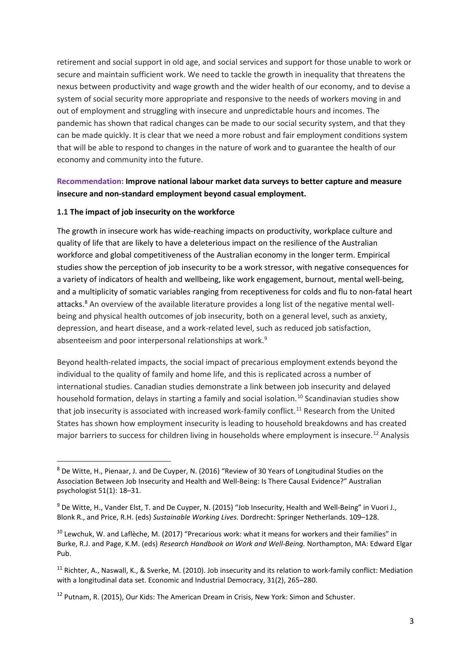retirement and social support in old age, and social services and support for those unable to work or secure and maintain sufficient work. We need to tackle the growth in inequality that threatens the nexus between productivity and wage growth and the wider health of our economy, and to devise a system of social security more appropriate and responsive to the needs of workers moving in and out of employment and struggling with insecure and unpredictable hours and incomes. The pandemic has shown that radical changes can be made to our social security system, and that they can be made quickly. It is clear that we need a more robust and fair employment conditions system that will be able to respond to changes in the nature of work and to guarantee the health of our economy and community into the future.

## **Recommendation: Improve national labour market data surveys to better capture and measure insecure and non-standard employment beyond casual employment.**

#### **1.1 The impact of job insecurity on the workforce**

The growth in insecure work has wide-reaching impacts on productivity, workplace culture and quality of life that are likely to have a deleterious impact on the resilience of the Australian workforce and global competitiveness of the Australian economy in the longer term. Empirical studies show the perception of job insecurity to be a work stressor, with negative consequences for a variety of indicators of health and wellbeing, like work engagement, burnout, mental well-being, and a multiplicity of somatic variables ranging from receptiveness for colds and flu to non-fatal heart attacks.<sup>[8](#page-2-0)</sup> An overview of the available literature provides a long list of the negative mental wellbeing and physical health outcomes of job insecurity, both on a general level, such as anxiety, depression, and heart disease, and a work-related level, such as reduced job satisfaction, absenteeism and poor interpersonal relationships at work.[9](#page-2-1)

Beyond health-related impacts, the social impact of precarious employment extends beyond the individual to the quality of family and home life, and this is replicated across a number of international studies. Canadian studies demonstrate a link between job insecurity and delayed household formation, delays in starting a family and social isolation.<sup>[10](#page-2-2)</sup> Scandinavian studies show that job insecurity is associated with increased work-family conflict.<sup>[11](#page-2-3)</sup> Research from the United States has shown how employment insecurity is leading to household breakdowns and has created major barriers to success for children living in households where employment is insecure.<sup>[12](#page-2-4)</sup> Analysis

<span id="page-2-0"></span> <sup>8</sup> De Witte, H., Pienaar, J. and De Cuyper, N. (2016) "Review of 30 Years of Longitudinal Studies on the Association Between Job Insecurity and Health and Well-Being: Is There Causal Evidence?" Australian psychologist 51(1): 18–31.

<span id="page-2-1"></span><sup>9</sup> De Witte, H., Vander Elst, T. and De Cuyper, N. (2015) "Job Insecurity, Health and Well-Being" in Vuori J., Blonk R., and Price, R.H. (eds) *Sustainable Working Lives*. Dordrecht: Springer Netherlands. 109–128.

<span id="page-2-2"></span> $10$  Lewchuk, W. and Laflèche, M. (2017) "Precarious work: what it means for workers and their families" in Burke, R.J. and Page, K.M. (eds) *Research Handbook on Work and Well-Being.* Northampton, MA: Edward Elgar Pub.

<span id="page-2-3"></span><sup>&</sup>lt;sup>11</sup> Richter, A., Naswall, K., & Sverke, M. (2010). Job insecurity and its relation to work-family conflict: Mediation with a longitudinal data set. Economic and Industrial Democracy, 31(2), 265–280.

<span id="page-2-4"></span> $12$  Putnam, R. (2015), Our Kids: The American Dream in Crisis, New York: Simon and Schuster.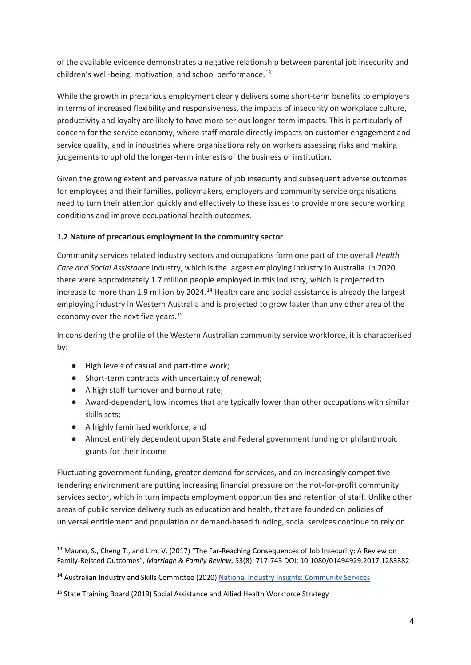of the available evidence demonstrates a negative relationship between parental job insecurity and children's well-being, motivation, and school performance.<sup>[13](#page-3-0)</sup>

While the growth in precarious employment clearly delivers some short-term benefits to employers in terms of increased flexibility and responsiveness, the impacts of insecurity on workplace culture, productivity and loyalty are likely to have more serious longer-term impacts. This is particularly of concern for the service economy, where staff morale directly impacts on customer engagement and service quality, and in industries where organisations rely on workers assessing risks and making judgements to uphold the longer-term interests of the business or institution.

Given the growing extent and pervasive nature of job insecurity and subsequent adverse outcomes for employees and their families, policymakers, employers and community service organisations need to turn their attention quickly and effectively to these issues to provide more secure working conditions and improve occupational health outcomes.

## **1.2 Nature of precarious employment in the community sector**

Community services related industry sectors and occupations form one part of the overall *Health Care and Social Assistance* industry, which is the largest employing industry in Australia. In 2020 there were approximately 1.7 million people employed in this industry, which is projected to increase to more than 1.9 million by 2024.**[14](#page-3-1)** Health care and social assistance is already the largest employing industry in Western Australia and is projected to grow faster than any other area of the economy over the next five years.[15](#page-3-2)

In considering the profile of the Western Australian community service workforce, it is characterised by:

- High levels of casual and part-time work;
- Short-term contracts with uncertainty of renewal;
- A high staff turnover and burnout rate;
- Award-dependent, low incomes that are typically lower than other occupations with similar skills sets;
- A highly feminised workforce; and
- Almost entirely dependent upon State and Federal government funding or philanthropic grants for their income

Fluctuating government funding, greater demand for services, and an increasingly competitive tendering environment are putting increasing financial pressure on the not-for-profit community services sector, which in turn impacts employment opportunities and retention of staff. Unlike other areas of public service delivery such as education and health, that are founded on policies of universal entitlement and population or demand-based funding, social services continue to rely on

<span id="page-3-0"></span><sup>&</sup>lt;sup>13</sup> Mauno, S., Cheng T., and Lim, V. (2017) "The Far-Reaching Consequences of Job Insecurity: A Review on Family-Related Outcomes", *Marriage & Family Review*, 53(8): 717-743 DOI: 10.1080/01494929.2017.1283382

<span id="page-3-1"></span><sup>14</sup> Australian Industry and Skills Committee (2020) [National Industry Insights: Community Services](https://nationalindustryinsights.aisc.net.au/industries/community-services)

<span id="page-3-2"></span><sup>&</sup>lt;sup>15</sup> State Training Board (2019) Social Assistance and Allied Health Workforce Strategy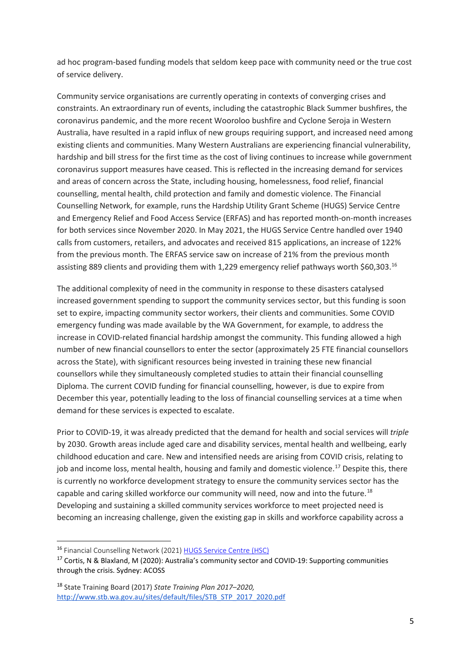ad hoc program-based funding models that seldom keep pace with community need or the true cost of service delivery.

Community service organisations are currently operating in contexts of converging crises and constraints. An extraordinary run of events, including the catastrophic Black Summer bushfires, the coronavirus pandemic, and the more recent Wooroloo bushfire and Cyclone Seroja in Western Australia, have resulted in a rapid influx of new groups requiring support, and increased need among existing clients and communities. Many Western Australians are experiencing financial vulnerability, hardship and bill stress for the first time as the cost of living continues to increase while government coronavirus support measures have ceased. This is reflected in the increasing demand for services and areas of concern across the State, including housing, homelessness, food relief, financial counselling, mental health, child protection and family and domestic violence. The Financial Counselling Network, for example, runs the Hardship Utility Grant Scheme (HUGS) Service Centre and Emergency Relief and Food Access Service (ERFAS) and has reported month-on-month increases for both services since November 2020. In May 2021, the HUGS Service Centre handled over 1940 calls from customers, retailers, and advocates and received 815 applications, an increase of 122% from the previous month. The ERFAS service saw on increase of 21% from the previous month assisting 889 clients and providing them with 1,229 emergency relief pathways worth \$60,303.<sup>[16](#page-4-0)</sup>

The additional complexity of need in the community in response to these disasters catalysed increased government spending to support the community services sector, but this funding is soon set to expire, impacting community sector workers, their clients and communities. Some COVID emergency funding was made available by the WA Government, for example, to address the increase in COVID-related financial hardship amongst the community. This funding allowed a high number of new financial counsellors to enter the sector (approximately 25 FTE financial counsellors across the State), with significant resources being invested in training these new financial counsellors while they simultaneously completed studies to attain their financial counselling Diploma. The current COVID funding for financial counselling, however, is due to expire from December this year, potentially leading to the loss of financial counselling services at a time when demand for these services is expected to escalate.

Prior to COVID-19, it was already predicted that the demand for health and social services will *triple*  by 2030. Growth areas include aged care and disability services, mental health and wellbeing, early childhood education and care. New and intensified needs are arising from COVID crisis, relating to job and income loss, mental health, housing and family and domestic violence.<sup>[17](#page-4-1)</sup> Despite this, there is currently no workforce development strategy to ensure the community services sector has the capable and caring skilled workforce our community will need, now and into the future.<sup>[18](#page-4-2)</sup> Developing and sustaining a skilled community services workforce to meet projected need is becoming an increasing challenge, given the existing gap in skills and workforce capability across a

<span id="page-4-0"></span> <sup>16</sup> Financial Counselling Network (2021) [HUGS Service Centre \(HSC\)](https://www.financialcounsellingnetwork.org.au/hugs-service-centre-hsc/)

<span id="page-4-1"></span><sup>&</sup>lt;sup>17</sup> Cortis, N & Blaxland, M (2020): Australia's community sector and COVID-19: Supporting communities through the crisis. Sydney: ACOSS

<span id="page-4-2"></span><sup>18</sup> State Training Board (2017) *State Training Plan 2017–2020[,](http://www.stb.wa.gov.au/sites/default/files/STB_STP_2017_2020.pdf)* [http://www.stb.wa.gov.au/sites/default/files/STB\\_STP\\_2017\\_2020.pdf](http://www.stb.wa.gov.au/sites/default/files/STB_STP_2017_2020.pdf)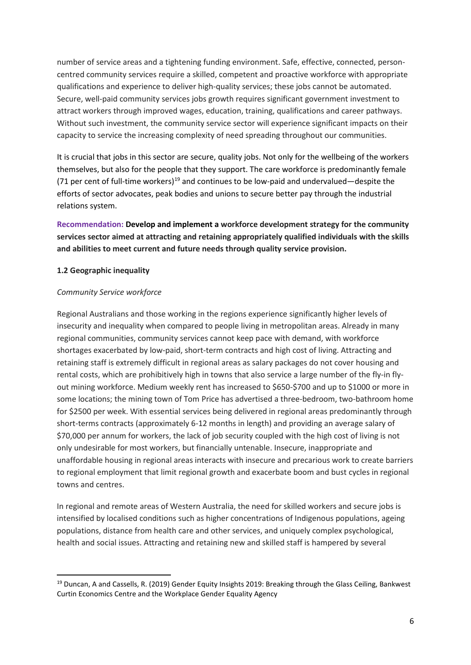number of service areas and a tightening funding environment. Safe, effective, connected, personcentred community services require a skilled, competent and proactive workforce with appropriate qualifications and experience to deliver high-quality services; these jobs cannot be automated. Secure, well-paid community services jobs growth requires significant government investment to attract workers through improved wages, education, training, qualifications and career pathways. Without such investment, the community service sector will experience significant impacts on their capacity to service the increasing complexity of need spreading throughout our communities.

It is crucial that jobs in this sector are secure, quality jobs. Not only for the wellbeing of the workers themselves, but also for the people that they support. The care workforce is predominantly female (71 per cent of full-time workers)<sup>[19](#page-5-0)</sup> and continues to be low-paid and undervalued—despite the efforts of sector advocates, peak bodies and unions to secure better pay through the industrial relations system.

**Recommendation: Develop and implement a workforce development strategy for the community services sector aimed at attracting and retaining appropriately qualified individuals with the skills and abilities to meet current and future needs through quality service provision.**

## **1.2 Geographic inequality**

#### *Community Service workforce*

Regional Australians and those working in the regions experience significantly higher levels of insecurity and inequality when compared to people living in metropolitan areas. Already in many regional communities, community services cannot keep pace with demand, with workforce shortages exacerbated by low-paid, short-term contracts and high cost of living. Attracting and retaining staff is extremely difficult in regional areas as salary packages do not cover housing and rental costs, which are prohibitively high in towns that also service a large number of the fly-in flyout mining workforce. Medium weekly rent has increased to \$650-\$700 and up to \$1000 or more in some locations; the mining town of Tom Price has advertised a three-bedroom, two-bathroom home for \$2500 per week. With essential services being delivered in regional areas predominantly through short-terms contracts (approximately 6-12 months in length) and providing an average salary of \$70,000 per annum for workers, the lack of job security coupled with the high cost of living is not only undesirable for most workers, but financially untenable. Insecure, inappropriate and unaffordable housing in regional areas interacts with insecure and precarious work to create barriers to regional employment that limit regional growth and exacerbate boom and bust cycles in regional towns and centres.

In regional and remote areas of Western Australia, the need for skilled workers and secure jobs is intensified by localised conditions such as higher concentrations of Indigenous populations, ageing populations, distance from health care and other services, and uniquely complex psychological, health and social issues. Attracting and retaining new and skilled staff is hampered by several

<span id="page-5-0"></span><sup>&</sup>lt;sup>19</sup> Duncan, A and Cassells, R. (2019) Gender Equity Insights 2019: Breaking through the Glass Ceiling, Bankwest Curtin Economics Centre and the Workplace Gender Equality Agency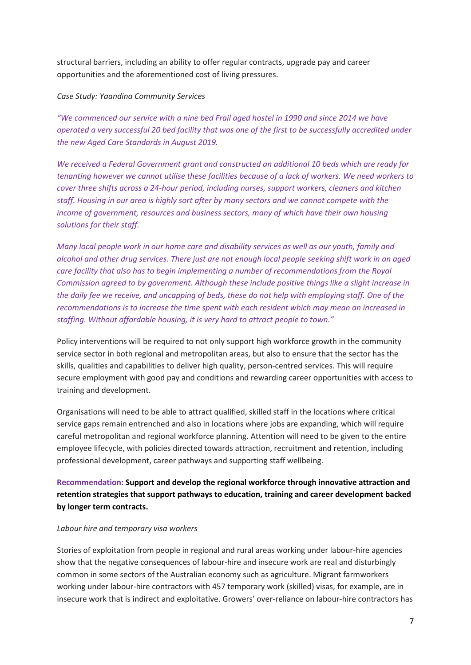structural barriers, including an ability to offer regular contracts, upgrade pay and career opportunities and the aforementioned cost of living pressures.

### *Case Study: Yaandina Community Services*

*"We commenced our service with a nine bed Frail aged hostel in 1990 and since 2014 we have operated a very successful 20 bed facility that was one of the first to be successfully accredited under the new Aged Care Standards in August 2019.*

*We received a Federal Government grant and constructed an additional 10 beds which are ready for tenanting however we cannot utilise these facilities because of a lack of workers. We need workers to cover three shifts across a 24-hour period, including nurses, support workers, cleaners and kitchen staff. Housing in our area is highly sort after by many sectors and we cannot compete with the income of government, resources and business sectors, many of which have their own housing solutions for their staff.*

*Many local people work in our home care and disability services as well as our youth, family and alcohol and other drug services. There just are not enough local people seeking shift work in an aged care facility that also has to begin implementing a number of recommendations from the Royal Commission agreed to by government. Although these include positive things like a slight increase in the daily fee we receive, and uncapping of beds, these do not help with employing staff. One of the recommendations is to increase the time spent with each resident which may mean an increased in staffing. Without affordable housing, it is very hard to attract people to town."*

Policy interventions will be required to not only support high workforce growth in the community service sector in both regional and metropolitan areas, but also to ensure that the sector has the skills, qualities and capabilities to deliver high quality, person-centred services. This will require secure employment with good pay and conditions and rewarding career opportunities with access to training and development.

Organisations will need to be able to attract qualified, skilled staff in the locations where critical service gaps remain entrenched and also in locations where jobs are expanding, which will require careful metropolitan and regional workforce planning. Attention will need to be given to the entire employee lifecycle, with policies directed towards attraction, recruitment and retention, including professional development, career pathways and supporting staff wellbeing.

# **Recommendation: Support and develop the regional workforce through innovative attraction and retention strategies that support pathways to education, training and career development backed by longer term contracts.**

#### *Labour hire and temporary visa workers*

Stories of exploitation from people in regional and rural areas working under labour-hire agencies show that the negative consequences of labour-hire and insecure work are real and disturbingly common in some sectors of the Australian economy such as agriculture. Migrant farmworkers working under labour-hire contractors with 457 temporary work (skilled) visas, for example, are in insecure work that is indirect and exploitative. Growers' over-reliance on labour-hire contractors has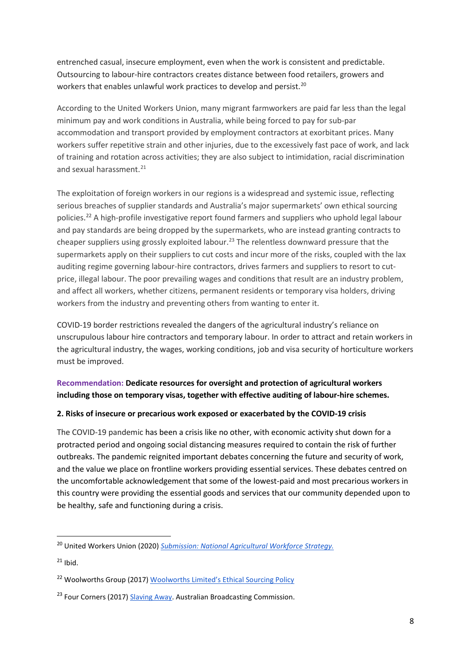entrenched casual, insecure employment, even when the work is consistent and predictable. Outsourcing to labour-hire contractors creates distance between food retailers, growers and workers that enables unlawful work practices to develop and persist.<sup>[20](#page-7-0)</sup>

According to the United Workers Union, many migrant farmworkers are paid far less than the legal minimum pay and work conditions in Australia, while being forced to pay for sub-par accommodation and transport provided by employment contractors at exorbitant prices. Many workers suffer repetitive strain and other injuries, due to the excessively fast pace of work, and lack of training and rotation across activities; they are also subject to intimidation, racial discrimination and sexual harassment.<sup>[21](#page-7-1)</sup>

The exploitation of foreign workers in our regions is a widespread and systemic issue, reflecting serious breaches of supplier standards and Australia's major supermarkets' own ethical sourcing policies. [22](#page-7-2) A high-profile investigative report found farmers and suppliers who uphold legal labour and pay standards are being dropped by the supermarkets, who are instead granting contracts to cheaper suppliers using grossly exploited labour.<sup>[23](#page-7-3)</sup> The relentless downward pressure that the supermarkets apply on their suppliers to cut costs and incur more of the risks, coupled with the lax auditing regime governing labour-hire contractors, drives farmers and suppliers to resort to cutprice, illegal labour. The poor prevailing wages and conditions that result are an industry problem, and affect all workers, whether citizens, permanent residents or temporary visa holders, driving workers from the industry and preventing others from wanting to enter it.

COVID-19 border restrictions revealed the dangers of the agricultural industry's reliance on unscrupulous labour hire contractors and temporary labour. In order to attract and retain workers in the agricultural industry, the wages, working conditions, job and visa security of horticulture workers must be improved.

# **Recommendation: Dedicate resources for oversight and protection of agricultural workers including those on temporary visas, together with effective auditing of labour-hire schemes.**

## **2. Risks of insecure or precarious work exposed or exacerbated by the COVID-19 crisis**

The COVID-19 pandemic has been a crisis like no other, with economic activity shut down for a protracted period and ongoing social distancing measures required to contain the risk of further outbreaks. The pandemic reignited important debates concerning the future and security of work, and the value we place on frontline workers providing essential services. These debates centred on the uncomfortable acknowledgement that some of the lowest-paid and most precarious workers in this country were providing the essential goods and services that our community depended upon to be healthy, safe and functioning during a crisis.

<span id="page-7-0"></span> <sup>20</sup> United Workers Union (2020) *[Submission: National Agricultural Workforce Strategy.](https://www.unitedworkers.org.au/wp-content/uploads/2021/02/UWU-NALAC-Submission-2020.pdf)*

<span id="page-7-1"></span> $21$  Ibid.

<span id="page-7-2"></span><sup>&</sup>lt;sup>22</sup> Woolworths Group (2017) [Woolworths Limited's Ethical Sourcing Policy](https://www.woolworthsgroup.com.au/content/Document/Ethical%20Sourcing%20Policy.pdf)

<span id="page-7-3"></span><sup>&</sup>lt;sup>23</sup> Four Corners (2017) [Slaving Away.](https://www.abc.net.au/4corners/slaving-away-promo/6437876) Australian Broadcasting Commission.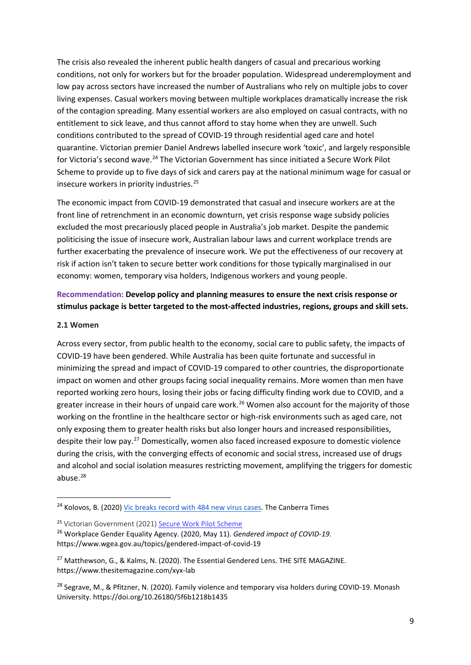The crisis also revealed the inherent public health dangers of casual and precarious working conditions, not only for workers but for the broader population. Widespread underemployment and low pay across sectors have increased the number of Australians who rely on multiple jobs to cover living expenses. Casual workers moving between multiple workplaces dramatically increase the risk of the contagion spreading. Many essential workers are also employed on casual contracts, with no entitlement to sick leave, and thus cannot afford to stay home when they are unwell. Such conditions contributed to the spread of COVID-19 through residential aged care and hotel quarantine. Victorian premier Daniel Andrews labelled insecure work 'toxic', and largely responsible for Victoria's second wave.<sup>[24](#page-8-0)</sup> The Victorian Government has since initiated a Secure Work Pilot Scheme to provide up to five days of sick and carers pay at the national minimum wage for casual or insecure workers in priority industries.<sup>[25](#page-8-1)</sup>

The economic impact from COVID-19 demonstrated that casual and insecure workers are at the front line of retrenchment in an economic downturn, yet crisis response wage subsidy policies excluded the most precariously placed people in Australia's job market. Despite the pandemic politicising the issue of insecure work, Australian labour laws and current workplace trends are further exacerbating the prevalence of insecure work. We put the effectiveness of our recovery at risk if action isn't taken to secure better work conditions for those typically marginalised in our economy: women, temporary visa holders, Indigenous workers and young people.

# **Recommendation: Develop policy and planning measures to ensure the next crisis response or stimulus package is better targeted to the most-affected industries, regions, groups and skill sets.**

#### **2.1 Women**

Across every sector, from public health to the economy, social care to public safety, the impacts of COVID-19 have been gendered. While Australia has been quite fortunate and successful in minimizing the spread and impact of COVID-19 compared to other countries, the disproportionate impact on women and other groups facing social inequality remains. More women than men have reported working zero hours, losing their jobs or facing difficulty finding work due to COVID, and a greater increase in their hours of unpaid care work.<sup>[26](#page-8-2)</sup> Women also account for the majority of those working on the frontline in the healthcare sector or high-risk environments such as aged care, not only exposing them to greater health risks but also longer hours and increased responsibilities, despite their low pay.[27](#page-8-3) Domestically, women also faced increased exposure to domestic violence during the crisis, with the converging effects of economic and social stress, increased use of drugs and alcohol and social isolation measures restricting movement, amplifying the triggers for domestic abuse.<sup>[28](#page-8-4)</sup>

<span id="page-8-0"></span><sup>&</sup>lt;sup>24</sup> Kolovos, B. (2020[\) Vic breaks record with 484 new virus cases.](https://www.canberratimes.com.au/story/6844018/vic-breaks-record-with-484-new-virus-cases/) The Canberra Times

<span id="page-8-1"></span><sup>25</sup> Victorian Government (2021[\) Secure Work Pilot Scheme](https://www.vic.gov.au/secure-work-pilot-scheme#:%7E:text=Secure%20Work%20Pilot%20Scheme%201%20Timing.%20The%20pilot,high%20rates%20of%20casualisation.%20...%203%20Consultation.%20)

<span id="page-8-2"></span><sup>26</sup> Workplace Gender Equality Agency. (2020, May 11). *Gendered impact of COVID-19*. https://www.wgea.gov.au/topics/gendered-impact-of-covid-19

<span id="page-8-3"></span><sup>&</sup>lt;sup>27</sup> Matthewson, G., & Kalms, N. (2020). The Essential Gendered Lens. THE SITE MAGAZINE. https://www.thesitemagazine.com/xyx-lab

<span id="page-8-4"></span><sup>&</sup>lt;sup>28</sup> Segrave, M., & Pfitzner, N. (2020). Family violence and temporary visa holders during COVID-19. Monash University. https://doi.org/10.26180/5f6b1218b1435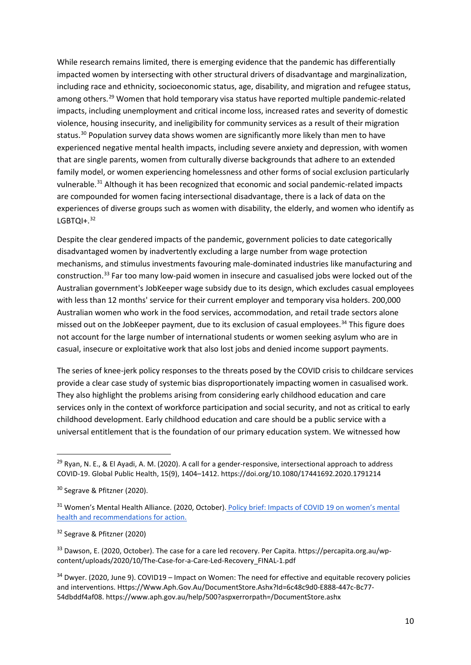While research remains limited, there is emerging evidence that the pandemic has differentially impacted women by intersecting with other structural drivers of disadvantage and marginalization, including race and ethnicity, socioeconomic status, age, disability, and migration and refugee status, among others.<sup>[29](#page-9-0)</sup> Women that hold temporary visa status have reported multiple pandemic-related impacts, including unemployment and critical income loss, increased rates and severity of domestic violence, housing insecurity, and ineligibility for community services as a result of their migration status.<sup>[30](#page-9-1)</sup> Population survey data shows women are significantly more likely than men to have experienced negative mental health impacts, including severe anxiety and depression, with women that are single parents, women from culturally diverse backgrounds that adhere to an extended family model, or women experiencing homelessness and other forms of social exclusion particularly vulnerable.<sup>[31](#page-9-2)</sup> Although it has been recognized that economic and social pandemic-related impacts are compounded for women facing intersectional disadvantage, there is a lack of data on the experiences of diverse groups such as women with disability, the elderly, and women who identify as  $LGETOI+.32$  $LGETOI+.32$ 

Despite the clear gendered impacts of the pandemic, government policies to date categorically disadvantaged women by inadvertently excluding a large number from wage protection mechanisms, and stimulus investments favouring male-dominated industries like manufacturing and construction.[33](#page-9-4) Far too many low-paid women in insecure and casualised jobs were locked out of the Australian government's JobKeeper wage subsidy due to its design, which excludes casual employees with less than 12 months' service for their current employer and temporary visa holders. 200,000 Australian women who work in the food services, accommodation, and retail trade sectors alone missed out on the JobKeeper payment, due to its exclusion of casual employees.<sup>[34](#page-9-5)</sup> This figure does not account for the large number of international students or women seeking asylum who are in casual, insecure or exploitative work that also lost jobs and denied income support payments.

The series of knee-jerk policy responses to the threats posed by the COVID crisis to childcare services provide a clear case study of systemic bias disproportionately impacting women in casualised work. They also highlight the problems arising from considering early childhood education and care services only in the context of workforce participation and social security, and not as critical to early childhood development. Early childhood education and care should be a public service with a universal entitlement that is the foundation of our primary education system. We witnessed how

<span id="page-9-4"></span><sup>33</sup> Dawson, E. (2020, October). The case for a care led recovery. Per Capita. https://percapita.org.au/wpcontent/uploads/2020/10/The-Case-for-a-Care-Led-Recovery\_FINAL-1.pdf

<span id="page-9-5"></span><sup>34</sup> Dwyer. (2020, June 9). COVID19 – Impact on Women: The need for effective and equitable recovery policies and interventions. Https://Www.Aph.Gov.Au/DocumentStore.Ashx?Id=6c48c9d0-E888-447c-Bc77- 54dbddf4af08. https://www.aph.gov.au/help/500?aspxerrorpath=/DocumentStore.ashx

<span id="page-9-0"></span> $^{29}$  Ryan, N. E., & El Ayadi, A. M. (2020). A call for a gender-responsive, intersectional approach to address COVID-19. Global Public Health, 15(9), 1404–1412. https://doi.org/10.1080/17441692.2020.1791214

<span id="page-9-1"></span><sup>&</sup>lt;sup>30</sup> Segrave & Pfitzner (2020).

<span id="page-9-2"></span><sup>&</sup>lt;sup>31</sup> Women's Mental Health Alliance. (2020, October). Policy brief: Impacts of COVID 19 on women's mental [health and recommendations for action.](https://womenshealthvic.com.au/resources/WHV_Publications/WMHA_Impacts-of-COVID19-on-womens-mental-health-and-recommendations-for-action_Update-13-October-2020_(Fulltext-PDF).pdf) 

<span id="page-9-3"></span><sup>32</sup> Segrave & Pfitzner (2020)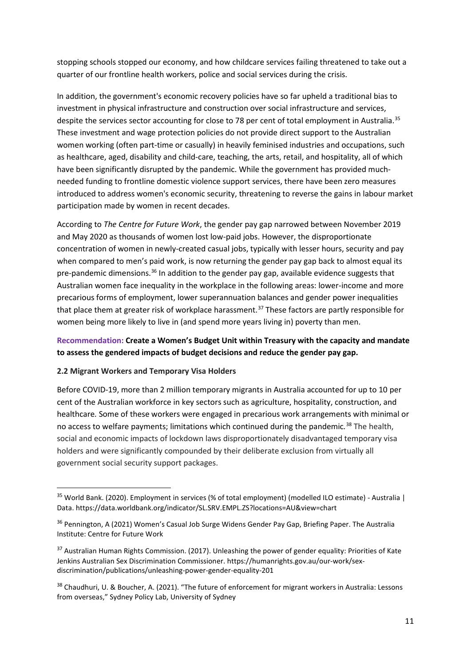stopping schools stopped our economy, and how childcare services failing threatened to take out a quarter of our frontline health workers, police and social services during the crisis.

In addition, the government's economic recovery policies have so far upheld a traditional bias to investment in physical infrastructure and construction over social infrastructure and services, despite the services sector accounting for close to 78 per cent of total employment in Australia.<sup>[35](#page-10-0)</sup> These investment and wage protection policies do not provide direct support to the Australian women working (often part-time or casually) in heavily feminised industries and occupations, such as healthcare, aged, disability and child-care, teaching, the arts, retail, and hospitality, all of which have been significantly disrupted by the pandemic. While the government has provided muchneeded funding to frontline domestic violence support services, there have been zero measures introduced to address women's economic security, threatening to reverse the gains in labour market participation made by women in recent decades.

According to *The Centre for Future Work*, the gender pay gap narrowed between November 2019 and May 2020 as thousands of women lost low-paid jobs. However, the disproportionate concentration of women in newly-created casual jobs, typically with lesser hours, security and pay when compared to men's paid work, is now returning the gender pay gap back to almost equal its pre-pandemic dimensions.<sup>[36](#page-10-1)</sup> In addition to the gender pay gap, available evidence suggests that Australian women face inequality in the workplace in the following areas: lower-income and more precarious forms of employment, lower superannuation balances and gender power inequalities that place them at greater risk of workplace harassment.<sup>[37](#page-10-2)</sup> These factors are partly responsible for women being more likely to live in (and spend more years living in) poverty than men.

# **Recommendation: Create a Women's Budget Unit within Treasury with the capacity and mandate to assess the gendered impacts of budget decisions and reduce the gender pay gap.**

## **2.2 Migrant Workers and Temporary Visa Holders**

Before COVID-19, more than 2 million temporary migrants in Australia accounted for up to 10 per cent of the Australian workforce in key sectors such as agriculture, hospitality, construction, and healthcare*.* Some of these workers were engaged in precarious work arrangements with minimal or no access to welfare payments; limitations which continued during the pandemic*.* [38](#page-10-3) The health, social and economic impacts of lockdown laws disproportionately disadvantaged temporary visa holders and were significantly compounded by their deliberate exclusion from virtually all government social security support packages.

<span id="page-10-0"></span> <sup>35</sup> World Bank. (2020). Employment in services (% of total employment) (modelled ILO estimate) - Australia | Data. https://data.worldbank.org/indicator/SL.SRV.EMPL.ZS?locations=AU&view=chart

<span id="page-10-1"></span><sup>&</sup>lt;sup>36</sup> Pennington, A (2021) Women's Casual Job Surge Widens Gender Pay Gap, Briefing Paper. The Australia Institute: Centre for Future Work

<span id="page-10-2"></span><sup>&</sup>lt;sup>37</sup> Australian Human Rights Commission. (2017). Unleashing the power of gender equality: Priorities of Kate Jenkins Australian Sex Discrimination Commissioner. https://humanrights.gov.au/our-work/sexdiscrimination/publications/unleashing-power-gender-equality-201

<span id="page-10-3"></span><sup>38</sup> Chaudhuri, U. & Boucher, A. (2021). "The future of enforcement for migrant workers in Australia: Lessons from overseas," Sydney Policy Lab, University of Sydney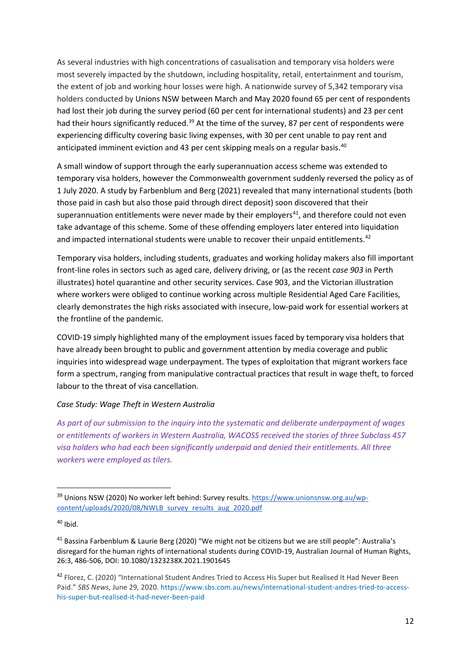As several industries with high concentrations of casualisation and temporary visa holders were most severely impacted by the shutdown, including hospitality, retail, entertainment and tourism, the extent of job and working hour losses were high. A nationwide survey of 5,342 temporary visa holders conducted by Unions NSW between March and May 2020 found 65 per cent of respondents had lost their job during the survey period (60 per cent for international students) and 23 per cent had their hours significantly reduced.<sup>[39](#page-11-0)</sup> At the time of the survey, 87 per cent of respondents were experiencing difficulty covering basic living expenses, with 30 per cent unable to pay rent and anticipated imminent eviction and 43 per cent skipping meals on a regular basis.<sup>[40](#page-11-1)</sup>

A small window of support through the early superannuation access scheme was extended to temporary visa holders, however the Commonwealth government suddenly reversed the policy as of 1 July 2020. A study by Farbenblum and Berg (2021) revealed that many international students (both those paid in cash but also those paid through direct deposit) soon discovered that their superannuation entitlements were never made by their employers<sup>41</sup>, and therefore could not even take advantage of this scheme. Some of these offending employers later entered into liquidation and impacted international students were unable to recover their unpaid entitlements.<sup>[42](#page-11-3)</sup>

Temporary visa holders, including students, graduates and working holiday makers also fill important front-line roles in sectors such as aged care, delivery driving, or (as the recent *case 903* in Perth illustrates) hotel quarantine and other security services. Case 903, and the Victorian illustration where workers were obliged to continue working across multiple Residential Aged Care Facilities, clearly demonstrates the high risks associated with insecure, low-paid work for essential workers at the frontline of the pandemic.

COVID-19 simply highlighted many of the employment issues faced by temporary visa holders that have already been brought to public and government attention by media coverage and public inquiries into widespread wage underpayment. The types of exploitation that migrant workers face form a spectrum, ranging from manipulative contractual practices that result in wage theft, to forced labour to the threat of visa cancellation.

#### *Case Study: Wage Theft in Western Australia*

*As part of our submission to the inquiry into the systematic and deliberate underpayment of wages or entitlements of workers in Western Australia, WACOSS received the stories of three Subclass 457 visa holders who had each been significantly underpaid and denied their entitlements. All three workers were employed as tilers.*

<span id="page-11-0"></span> <sup>39</sup> Unions NSW (2020) No worker left behind: Survey results[. https://www.unionsnsw.org.au/wp](https://www.unionsnsw.org.au/wp-content/uploads/2020/08/NWLB_survey_results_aug_2020.pdf)[content/uploads/2020/08/NWLB\\_survey\\_results\\_aug\\_2020.pdf](https://www.unionsnsw.org.au/wp-content/uploads/2020/08/NWLB_survey_results_aug_2020.pdf)

<span id="page-11-1"></span> $40$  Ibid.

<span id="page-11-2"></span><sup>41</sup> Bassina Farbenblum & Laurie Berg (2020) "We might not be citizens but we are still people": Australia's disregard for the human rights of international students during COVID-19, Australian Journal of Human Rights, 26:3, 486-506, DOI: 10.1080/1323238X.2021.1901645

<span id="page-11-3"></span><sup>&</sup>lt;sup>42</sup> Florez, C. (2020) "International Student Andres Tried to Access His Super but Realised It Had Never Been Paid." *SBS News*, June 29, 2020. [https://www.sbs.com.au/news/international-student-andres-tried-to-access](https://www.sbs.com.au/news/international-student-andres-tried-to-access-his-super-but-realised-it-had-never-been-paid)[his-super-but-realised-it-had-never-been-paid](https://www.sbs.com.au/news/international-student-andres-tried-to-access-his-super-but-realised-it-had-never-been-paid)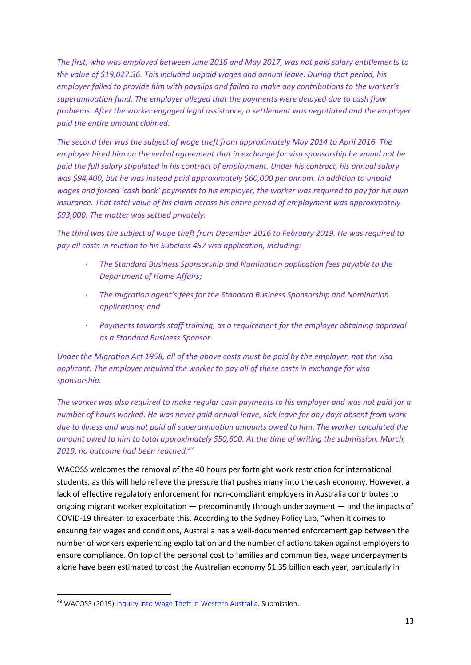*The first, who was employed between June 2016 and May 2017, was not paid salary entitlements to the value of \$19,027.36. This included unpaid wages and annual leave. During that period, his employer failed to provide him with payslips and failed to make any contributions to the worker's superannuation fund. The employer alleged that the payments were delayed due to cash flow problems. After the worker engaged legal assistance, a settlement was negotiated and the employer paid the entire amount claimed.*

*The second tiler was the subject of wage theft from approximately May 2014 to April 2016. The employer hired him on the verbal agreement that in exchange for visa sponsorship he would not be paid the full salary stipulated in his contract of employment. Under his contract, his annual salary was \$94,400, but he was instead paid approximately \$60,000 per annum. In addition to unpaid wages and forced 'cash back' payments to his employer, the worker was required to pay for his own insurance. That total value of his claim across his entire period of employment was approximately \$93,000. The matter was settled privately.*

*The third was the subject of wage theft from December 2016 to February 2019. He was required to pay all costs in relation to his Subclass 457 visa application, including:*

- *· The Standard Business Sponsorship and Nomination application fees payable to the Department of Home Affairs;*
- *· The migration agent's fees for the Standard Business Sponsorship and Nomination applications; and*
- *· Payments towards staff training, as a requirement for the employer obtaining approval as a Standard Business Sponsor.*

*Under the Migration Act 1958, all of the above costs must be paid by the employer, not the visa applicant. The employer required the worker to pay all of these costs in exchange for visa sponsorship.*

*The worker was also required to make regular cash payments to his employer and was not paid for a number of hours worked. He was never paid annual leave, sick leave for any days absent from work due to illness and was not paid all superannuation amounts owed to him. The worker calculated the amount owed to him to total approximately \$50,600. At the time of writing the submission, March, 2019, no outcome had been reached.[43](#page-12-0)*

WACOSS welcomes the removal of the 40 hours per fortnight work restriction for international students, as this will help relieve the pressure that pushes many into the cash economy. However, a lack of effective regulatory enforcement for non-compliant employers in Australia contributes to ongoing migrant worker exploitation — predominantly through underpayment — and the impacts of COVID-19 threaten to exacerbate this. According to the Sydney Policy Lab, "when it comes to ensuring fair wages and conditions, Australia has a well-documented enforcement gap between the number of workers experiencing exploitation and the number of actions taken against employers to ensure compliance. On top of the personal cost to families and communities, wage underpayments alone have been estimated to cost the Australian economy \$1.35 billion each year, particularly in

<span id="page-12-0"></span> <sup>43</sup> WACOSS (2019) [Inquiry into Wage Theft in Western Australia.](https://wacoss.org.au/wp-content/uploads/2019/03/Inquiry-into-Wage-Theft-in-Western-Australia.pdf) Submission.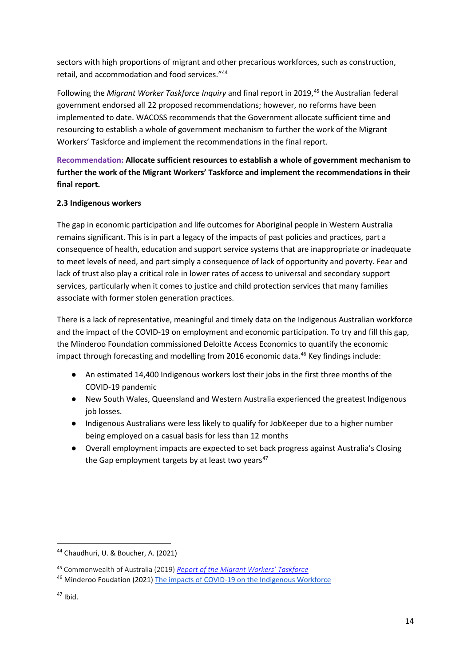sectors with high proportions of migrant and other precarious workforces, such as construction, retail, and accommodation and food services."[44](#page-13-0)

Following the *Migrant Worker Taskforce Inquiry* and final report in 2019,[45](#page-13-1) the Australian federal government endorsed all 22 proposed recommendations; however, no reforms have been implemented to date. WACOSS recommends that the Government allocate sufficient time and resourcing to establish a whole of government mechanism to further the work of the Migrant Workers' Taskforce and implement the recommendations in the final report.

# **Recommendation: Allocate sufficient resources to establish a whole of government mechanism to further the work of the Migrant Workers' Taskforce and implement the recommendations in their final report.**

## **2.3 Indigenous workers**

The gap in economic participation and life outcomes for Aboriginal people in Western Australia remains significant. This is in part a legacy of the impacts of past policies and practices, part a consequence of health, education and support service systems that are inappropriate or inadequate to meet levels of need, and part simply a consequence of lack of opportunity and poverty. Fear and lack of trust also play a critical role in lower rates of access to universal and secondary support services, particularly when it comes to justice and child protection services that many families associate with former stolen generation practices.

There is a lack of representative, meaningful and timely data on the Indigenous Australian workforce and the impact of the COVID-19 on employment and economic participation. To try and fill this gap, the Minderoo Foundation commissioned Deloitte Access Economics to quantify the economic impact through forecasting and modelling from 2016 economic data.<sup>[46](#page-13-2)</sup> Key findings include:

- An estimated 14,400 Indigenous workers lost their jobs in the first three months of the COVID-19 pandemic
- New South Wales, Queensland and Western Australia experienced the greatest Indigenous job losses.
- Indigenous Australians were less likely to qualify for JobKeeper due to a higher number being employed on a casual basis for less than 12 months
- Overall employment impacts are expected to set back progress against Australia's Closing the Gap employment targets by at least two years $47$

<span id="page-13-0"></span> <sup>44</sup> Chaudhuri, U. & Boucher, A. (2021)

<span id="page-13-1"></span><sup>45</sup> Commonwealth of Australia (2019) *[Report of the Migrant Workers' Taskforce](https://www.ag.gov.au/sites/default/files/2020-03/mwt_final_report.pdf)*

<span id="page-13-2"></span><sup>&</sup>lt;sup>46</sup> Minderoo Foudation (2021) [The impacts of COVID-19 on the Indigenous Workforce](https://cdn.minderoo.org/content/uploads/2021/03/19112119/The-impacts-of-COVID-19-on-the-Indigenous-Workforce.pdf)

<span id="page-13-3"></span> $47$  Ibid.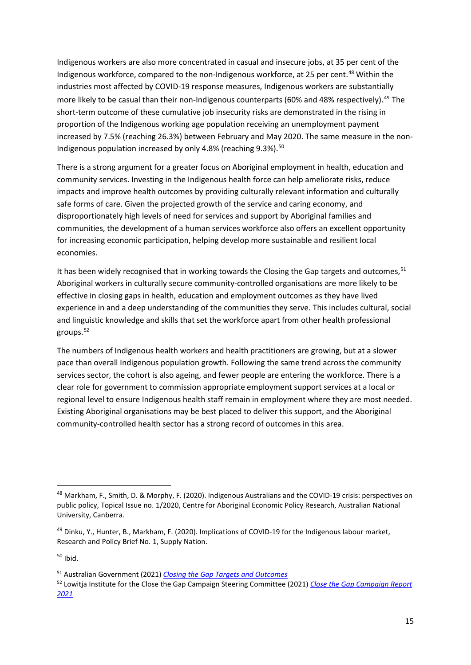Indigenous workers are also more concentrated in casual and insecure jobs, at 35 per cent of the Indigenous workforce, compared to the non-Indigenous workforce, at 25 per cent.<sup>[48](#page-14-0)</sup> Within the industries most affected by COVID-19 response measures, Indigenous workers are substantially more likely to be casual than their non-Indigenous counterparts (60% and 48% respectively). [49](#page-14-1) The short-term outcome of these cumulative job insecurity risks are demonstrated in the rising in proportion of the Indigenous working age population receiving an unemployment payment increased by 7.5% (reaching 26.3%) between February and May 2020. The same measure in the non-Indigenous population increased by only 4.8% (reaching  $9.3\%$ ).<sup>[50](#page-14-2)</sup>

There is a strong argument for a greater focus on Aboriginal employment in health, education and community services. Investing in the Indigenous health force can help ameliorate risks, reduce impacts and improve health outcomes by providing culturally relevant information and culturally safe forms of care. Given the projected growth of the service and caring economy, and disproportionately high levels of need for services and support by Aboriginal families and communities, the development of a human services workforce also offers an excellent opportunity for increasing economic participation, helping develop more sustainable and resilient local economies.

It has been widely recognised that in working towards the Closing the Gap targets and outcomes, <sup>[51](#page-14-3)</sup> Aboriginal workers in culturally secure community-controlled organisations are more likely to be effective in closing gaps in health, education and employment outcomes as they have lived experience in and a deep understanding of the communities they serve. This includes cultural, social and linguistic knowledge and skills that set the workforce apart from other health professional groups. [52](#page-14-4)

The numbers of Indigenous health workers and health practitioners are growing, but at a slower pace than overall Indigenous population growth. Following the same trend across the community services sector, the cohort is also ageing, and fewer people are entering the workforce. There is a clear role for government to commission appropriate employment support services at a local or regional level to ensure Indigenous health staff remain in employment where they are most needed. Existing Aboriginal organisations may be best placed to deliver this support, and the Aboriginal community-controlled health sector has a strong record of outcomes in this area.

<span id="page-14-0"></span> <sup>48</sup> Markham, F., Smith, D. & Morphy, F. (2020). Indigenous Australians and the COVID-19 crisis: perspectives on public policy, Topical Issue no. 1/2020, Centre for Aboriginal Economic Policy Research, Australian National University, Canberra.

<span id="page-14-1"></span><sup>&</sup>lt;sup>49</sup> Dinku, Y., Hunter, B., Markham, F. (2020). Implications of COVID-19 for the Indigenous labour market, Research and Policy Brief No. 1, Supply Nation.

<span id="page-14-2"></span> $50$  Ibid.

<span id="page-14-3"></span><sup>51</sup> Australian Government (2021) *[Closing the Gap Targets and Outcomes](https://www.closingthegap.gov.au/closing-gap-targets-and-outcomes)*

<span id="page-14-4"></span><sup>52</sup> Lowitja Institute for the Close the Gap Campaign Steering Committee (2021) *Close the Gap Campaign Report 2021*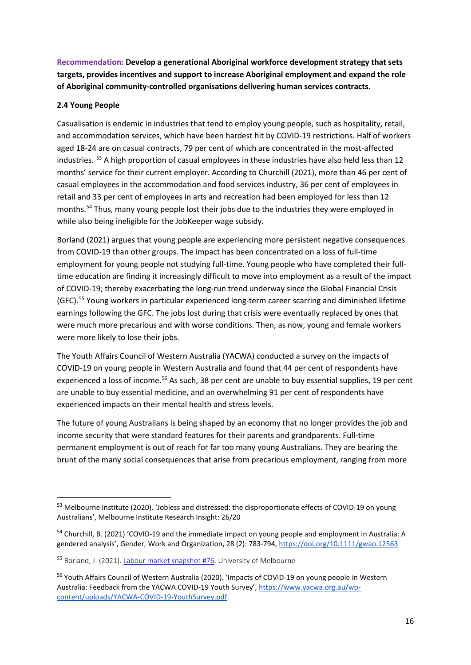**Recommendation: Develop a generational Aboriginal workforce development strategy that sets targets, provides incentives and support to increase Aboriginal employment and expand the role of Aboriginal community-controlled organisations delivering human services contracts.**

### **2.4 Young People**

Casualisation is endemic in industries that tend to employ young people, such as hospitality, retail, and accommodation services, which have been hardest hit by COVID-19 restrictions. Half of workers aged 18-24 are on casual contracts, 79 per cent of which are concentrated in the most-affected industries. <sup>[53](#page-15-0)</sup> A high proportion of casual employees in these industries have also held less than 12 months' service for their current employer. According to Churchill (2021), more than 46 per cent of casual employees in the accommodation and food services industry, 36 per cent of employees in retail and 33 per cent of employees in arts and recreation had been employed for less than 12 months.<sup>[54](#page-15-1)</sup> Thus, many young people lost their jobs due to the industries they were employed in while also being ineligible for the JobKeeper wage subsidy.

Borland (2021) argues that young people are experiencing more persistent negative consequences from COVID-19 than other groups. The impact has been concentrated on a loss of full-time employment for young people not studying full-time. Young people who have completed their fulltime education are finding it increasingly difficult to move into employment as a result of the impact of COVID-19; thereby exacerbating the long-run trend underway since the Global Financial Crisis (GFC).[55](#page-15-2) Young workers in particular experienced long-term career scarring and diminished lifetime earnings following the GFC. The jobs lost during that crisis were eventually replaced by ones that were much more precarious and with worse conditions. Then, as now, young and female workers were more likely to lose their jobs.

The Youth Affairs Council of Western Australia (YACWA) conducted a survey on the impacts of COVID-19 on young people in Western Australia and found that 44 per cent of respondents have experienced a loss of income.<sup>[56](#page-15-3)</sup> As such, 38 per cent are unable to buy essential supplies, 19 per cent are unable to buy essential medicine, and an overwhelming 91 per cent of respondents have experienced impacts on their mental health and stress levels.

The future of young Australians is being shaped by an economy that no longer provides the job and income security that were standard features for their parents and grandparents. Full-time permanent employment is out of reach for far too many young Australians. They are bearing the brunt of the many social consequences that arise from precarious employment, ranging from more

<span id="page-15-0"></span><sup>&</sup>lt;sup>53</sup> Melbourne Institute (2020). 'Jobless and distressed: the disproportionate effects of COVID-19 on young Australians', Melbourne Institute Research Insight: 26/20

<span id="page-15-1"></span><sup>&</sup>lt;sup>54</sup> Churchill, B. (2021) 'COVID-19 and the immediate impact on young people and employment in Australia: A gendered analysis', Gender, Work and Organization, 28 (2): 783-794[, https://doi.org/10.1111/gwao.12563](https://doi.org/10.1111/gwao.12563)

<span id="page-15-2"></span><sup>55</sup> Borland, J. (2021). [Labour market snapshot #76.](https://drive.google.com/file/d/1kE4f5qxNQwdh5Xp_6l2Cu-HrjiZvfkrB/view) University of Melbourne

<span id="page-15-3"></span><sup>56</sup> Youth Affairs Council of Western Australia (2020). 'Impacts of COVID-19 on young people in Western Australia: Feedback from the YACWA COVID-19 Youth Survey', [https://www.yacwa.org.au/wp](https://www.yacwa.org.au/wp-content/uploads/YACWA-COVID-19-YouthSurvey.pdf)[content/uploads/YACWA-COVID-19-YouthSurvey.pdf](https://www.yacwa.org.au/wp-content/uploads/YACWA-COVID-19-YouthSurvey.pdf)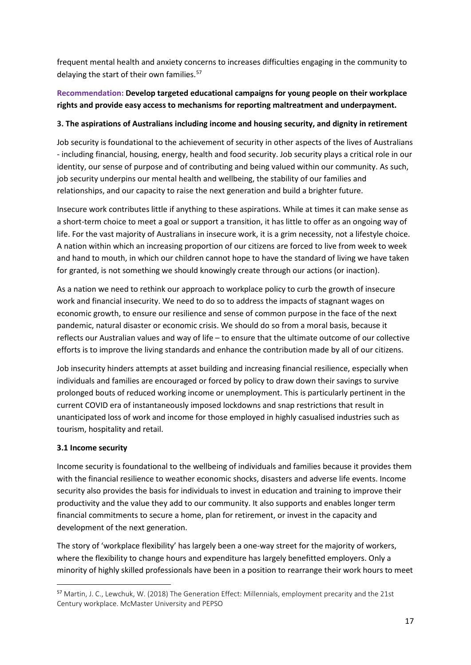frequent mental health and anxiety concerns to increases difficulties engaging in the community to delaying the start of their own families.<sup>[57](#page-16-0)</sup>

# **Recommendation: Develop targeted educational campaigns for young people on their workplace rights and provide easy access to mechanisms for reporting maltreatment and underpayment.**

## **3. The aspirations of Australians including income and housing security, and dignity in retirement**

Job security is foundational to the achievement of security in other aspects of the lives of Australians - including financial, housing, energy, health and food security. Job security plays a critical role in our identity, our sense of purpose and of contributing and being valued within our community. As such, job security underpins our mental health and wellbeing, the stability of our families and relationships, and our capacity to raise the next generation and build a brighter future.

Insecure work contributes little if anything to these aspirations. While at times it can make sense as a short-term choice to meet a goal or support a transition, it has little to offer as an ongoing way of life. For the vast majority of Australians in insecure work, it is a grim necessity, not a lifestyle choice. A nation within which an increasing proportion of our citizens are forced to live from week to week and hand to mouth, in which our children cannot hope to have the standard of living we have taken for granted, is not something we should knowingly create through our actions (or inaction).

As a nation we need to rethink our approach to workplace policy to curb the growth of insecure work and financial insecurity. We need to do so to address the impacts of stagnant wages on economic growth, to ensure our resilience and sense of common purpose in the face of the next pandemic, natural disaster or economic crisis. We should do so from a moral basis, because it reflects our Australian values and way of life – to ensure that the ultimate outcome of our collective efforts is to improve the living standards and enhance the contribution made by all of our citizens.

Job insecurity hinders attempts at asset building and increasing financial resilience, especially when individuals and families are encouraged or forced by policy to draw down their savings to survive prolonged bouts of reduced working income or unemployment. This is particularly pertinent in the current COVID era of instantaneously imposed lockdowns and snap restrictions that result in unanticipated loss of work and income for those employed in highly casualised industries such as tourism, hospitality and retail.

## **3.1 Income security**

Income security is foundational to the wellbeing of individuals and families because it provides them with the financial resilience to weather economic shocks, disasters and adverse life events. Income security also provides the basis for individuals to invest in education and training to improve their productivity and the value they add to our community. It also supports and enables longer term financial commitments to secure a home, plan for retirement, or invest in the capacity and development of the next generation.

The story of 'workplace flexibility' has largely been a one-way street for the majority of workers, where the flexibility to change hours and expenditure has largely benefitted employers. Only a minority of highly skilled professionals have been in a position to rearrange their work hours to meet

<span id="page-16-0"></span> <sup>57</sup> Martin, J. C., Lewchuk, W. (2018) The Generation Effect: Millennials, employment precarity and the 21st Century workplace. McMaster University and PEPSO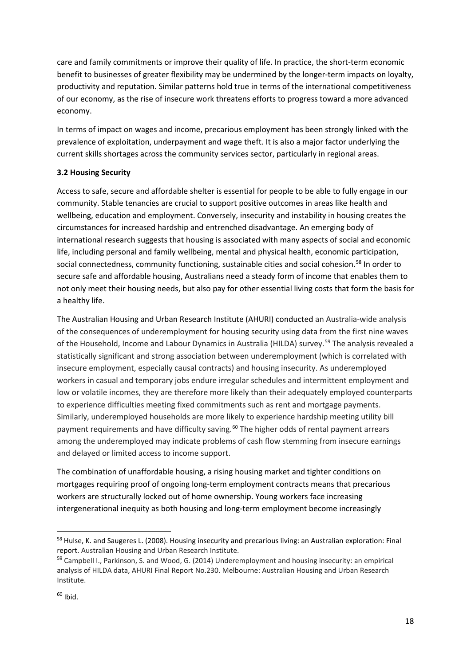care and family commitments or improve their quality of life. In practice, the short-term economic benefit to businesses of greater flexibility may be undermined by the longer-term impacts on loyalty, productivity and reputation. Similar patterns hold true in terms of the international competitiveness of our economy, as the rise of insecure work threatens efforts to progress toward a more advanced economy.

In terms of impact on wages and income, precarious employment has been strongly linked with the prevalence of exploitation, underpayment and wage theft. It is also a major factor underlying the current skills shortages across the community services sector, particularly in regional areas.

## **3.2 Housing Security**

Access to safe, secure and affordable shelter is essential for people to be able to fully engage in our community. Stable tenancies are crucial to support positive outcomes in areas like health and wellbeing, education and employment. Conversely, insecurity and instability in housing creates the circumstances for increased hardship and entrenched disadvantage. An emerging body of international research suggests that housing is associated with many aspects of social and economic life, including personal and family wellbeing, mental and physical health, economic participation, social connectedness, community functioning, sustainable cities and social cohesion.<sup>[58](#page-17-0)</sup> In order to secure safe and affordable housing, Australians need a steady form of income that enables them to not only meet their housing needs, but also pay for other essential living costs that form the basis for a healthy life.

The Australian Housing and Urban Research Institute (AHURI) conducted an Australia-wide analysis of the consequences of underemployment for housing security using data from the first nine waves of the Household, Income and Labour Dynamics in Australia (HILDA) survey.<sup>[59](#page-17-1)</sup> The analysis revealed a statistically significant and strong association between underemployment (which is correlated with insecure employment, especially causal contracts) and housing insecurity. As underemployed workers in casual and temporary jobs endure irregular schedules and intermittent employment and low or volatile incomes, they are therefore more likely than their adequately employed counterparts to experience difficulties meeting fixed commitments such as rent and mortgage payments. Similarly, underemployed households are more likely to experience hardship meeting utility bill payment requirements and have difficulty saving.<sup>[60](#page-17-2)</sup> The higher odds of rental payment arrears among the underemployed may indicate problems of cash flow stemming from insecure earnings and delayed or limited access to income support.

The combination of unaffordable housing, a rising housing market and tighter conditions on mortgages requiring proof of ongoing long-term employment contracts means that precarious workers are structurally locked out of home ownership. Young workers face increasing intergenerational inequity as both housing and long-term employment become increasingly

<span id="page-17-0"></span> <sup>58</sup> Hulse, K. and Saugeres L. (2008). Housing insecurity and precarious living: an Australian exploration: Final report. Australian Housing and Urban Research Institute.

<span id="page-17-2"></span><span id="page-17-1"></span><sup>&</sup>lt;sup>59</sup> Campbell I., Parkinson, S. and Wood, G. (2014) Underemployment and housing insecurity: an empirical analysis of HILDA data, AHURI Final Report No.230. Melbourne: Australian Housing and Urban Research Institute.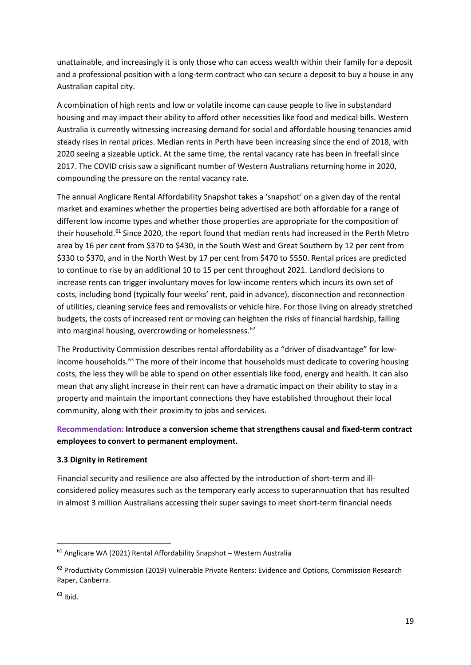unattainable, and increasingly it is only those who can access wealth within their family for a deposit and a professional position with a long-term contract who can secure a deposit to buy a house in any Australian capital city.

A combination of high rents and low or volatile income can cause people to live in substandard housing and may impact their ability to afford other necessities like food and medical bills. Western Australia is currently witnessing increasing demand for social and affordable housing tenancies amid steady rises in rental prices. Median rents in Perth have been increasing since the end of 2018, with 2020 seeing a sizeable uptick. At the same time, the rental vacancy rate has been in freefall since 2017. The COVID crisis saw a significant number of Western Australians returning home in 2020, compounding the pressure on the rental vacancy rate.

The annual Anglicare Rental Affordability Snapshot takes a 'snapshot' on a given day of the rental market and examines whether the properties being advertised are both affordable for a range of different low income types and whether those properties are appropriate for the composition of their household.<sup>[61](#page-18-0)</sup> Since 2020, the report found that median rents had increased in the Perth Metro area by 16 per cent from \$370 to \$430, in the South West and Great Southern by 12 per cent from \$330 to \$370, and in the North West by 17 per cent from \$470 to \$550. Rental prices are predicted to continue to rise by an additional 10 to 15 per cent throughout 2021. Landlord decisions to increase rents can trigger involuntary moves for low-income renters which incurs its own set of costs, including bond (typically four weeks' rent, paid in advance), disconnection and reconnection of utilities, cleaning service fees and removalists or vehicle hire. For those living on already stretched budgets, the costs of increased rent or moving can heighten the risks of financial hardship, falling into marginal housing, overcrowding or homelessness.<sup>[62](#page-18-1)</sup>

The Productivity Commission describes rental affordability as a "driver of disadvantage" for low-income households.<sup>[63](#page-18-2)</sup> The more of their income that households must dedicate to covering housing costs, the less they will be able to spend on other essentials like food, energy and health. It can also mean that any slight increase in their rent can have a dramatic impact on their ability to stay in a property and maintain the important connections they have established throughout their local community, along with their proximity to jobs and services.

# **Recommendation: Introduce a conversion scheme that strengthens causal and fixed-term contract employees to convert to permanent employment.**

## **3.3 Dignity in Retirement**

Financial security and resilience are also affected by the introduction of short-term and illconsidered policy measures such as the temporary early access to superannuation that has resulted in almost 3 million Australians accessing their super savings to meet short-term financial needs

<span id="page-18-0"></span> <sup>61</sup> Anglicare WA (2021) Rental Affordability Snapshot – Western Australia

<span id="page-18-1"></span><sup>&</sup>lt;sup>62</sup> Productivity Commission (2019) Vulnerable Private Renters: Evidence and Options, Commission Research Paper, Canberra.

<span id="page-18-2"></span> $63$  Ibid.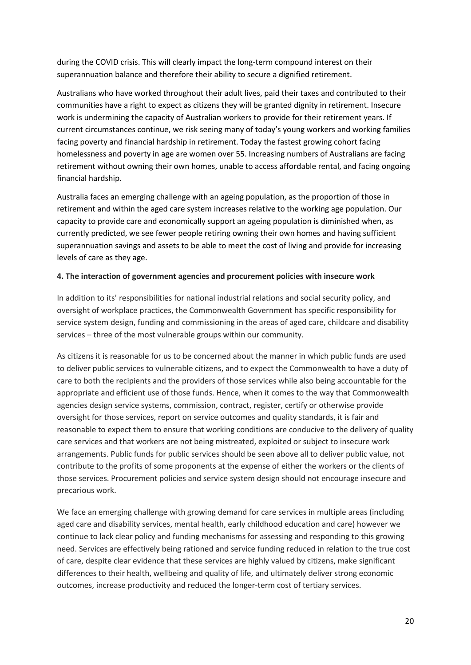during the COVID crisis. This will clearly impact the long-term compound interest on their superannuation balance and therefore their ability to secure a dignified retirement.

Australians who have worked throughout their adult lives, paid their taxes and contributed to their communities have a right to expect as citizens they will be granted dignity in retirement. Insecure work is undermining the capacity of Australian workers to provide for their retirement years. If current circumstances continue, we risk seeing many of today's young workers and working families facing poverty and financial hardship in retirement. Today the fastest growing cohort facing homelessness and poverty in age are women over 55. Increasing numbers of Australians are facing retirement without owning their own homes, unable to access affordable rental, and facing ongoing financial hardship.

Australia faces an emerging challenge with an ageing population, as the proportion of those in retirement and within the aged care system increases relative to the working age population. Our capacity to provide care and economically support an ageing population is diminished when, as currently predicted, we see fewer people retiring owning their own homes and having sufficient superannuation savings and assets to be able to meet the cost of living and provide for increasing levels of care as they age.

## **4. The interaction of government agencies and procurement policies with insecure work**

In addition to its' responsibilities for national industrial relations and social security policy, and oversight of workplace practices, the Commonwealth Government has specific responsibility for service system design, funding and commissioning in the areas of aged care, childcare and disability services – three of the most vulnerable groups within our community.

As citizens it is reasonable for us to be concerned about the manner in which public funds are used to deliver public services to vulnerable citizens, and to expect the Commonwealth to have a duty of care to both the recipients and the providers of those services while also being accountable for the appropriate and efficient use of those funds. Hence, when it comes to the way that Commonwealth agencies design service systems, commission, contract, register, certify or otherwise provide oversight for those services, report on service outcomes and quality standards, it is fair and reasonable to expect them to ensure that working conditions are conducive to the delivery of quality care services and that workers are not being mistreated, exploited or subject to insecure work arrangements. Public funds for public services should be seen above all to deliver public value, not contribute to the profits of some proponents at the expense of either the workers or the clients of those services. Procurement policies and service system design should not encourage insecure and precarious work.

We face an emerging challenge with growing demand for care services in multiple areas (including aged care and disability services, mental health, early childhood education and care) however we continue to lack clear policy and funding mechanisms for assessing and responding to this growing need. Services are effectively being rationed and service funding reduced in relation to the true cost of care, despite clear evidence that these services are highly valued by citizens, make significant differences to their health, wellbeing and quality of life, and ultimately deliver strong economic outcomes, increase productivity and reduced the longer-term cost of tertiary services.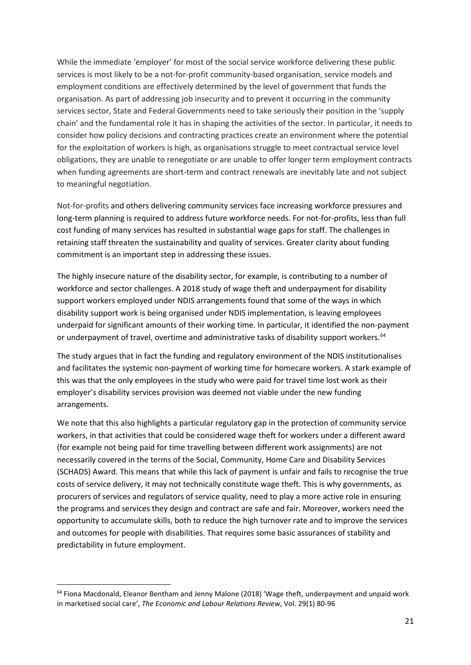While the immediate 'employer' for most of the social service workforce delivering these public services is most likely to be a not-for-profit community-based organisation, service models and employment conditions are effectively determined by the level of government that funds the organisation. As part of addressing job insecurity and to prevent it occurring in the community services sector, State and Federal Governments need to take seriously their position in the 'supply chain' and the fundamental role it has in shaping the activities of the sector. In particular, it needs to consider how policy decisions and contracting practices create an environment where the potential for the exploitation of workers is high, as organisations struggle to meet contractual service level obligations, they are unable to renegotiate or are unable to offer longer term employment contracts when funding agreements are short-term and contract renewals are inevitably late and not subject to meaningful negotiation.

Not-for-profits and others delivering community services face increasing workforce pressures and long-term planning is required to address future workforce needs. For not-for-profits, less than full cost funding of many services has resulted in substantial wage gaps for staff. The challenges in retaining staff threaten the sustainability and quality of services. Greater clarity about funding commitment is an important step in addressing these issues.

The highly insecure nature of the disability sector, for example, is contributing to a number of workforce and sector challenges. A 2018 study of wage theft and underpayment for disability support workers employed under NDIS arrangements found that some of the ways in which disability support work is being organised under NDIS implementation, is leaving employees underpaid for significant amounts of their working time. In particular, it identified the non-payment or underpayment of travel, overtime and administrative tasks of disability support workers.<sup>[64](#page-20-0)</sup>

The study argues that in fact the funding and regulatory environment of the NDIS institutionalises and facilitates the systemic non-payment of working time for homecare workers. A stark example of this was that the only employees in the study who were paid for travel time lost work as their employer's disability services provision was deemed not viable under the new funding arrangements.

We note that this also highlights a particular regulatory gap in the protection of community service workers, in that activities that could be considered wage theft for workers under a different award (for example not being paid for time travelling between different work assignments) are not necessarily covered in the terms of the Social, Community, Home Care and Disability Services (SCHADS) Award. This means that while this lack of payment is unfair and fails to recognise the true costs of service delivery, it may not technically constitute wage theft. This is why governments, as procurers of services and regulators of service quality, need to play a more active role in ensuring the programs and services they design and contract are safe and fair. Moreover, workers need the opportunity to accumulate skills, both to reduce the high turnover rate and to improve the services and outcomes for people with disabilities. That requires some basic assurances of stability and predictability in future employment.

<span id="page-20-0"></span><sup>&</sup>lt;sup>64</sup> Fiona Macdonald, Eleanor Bentham and Jenny Malone (2018) 'Wage theft, underpayment and unpaid work in marketised social care', *The Economic and Labour Relations Review*, Vol. 29(1) 80-96